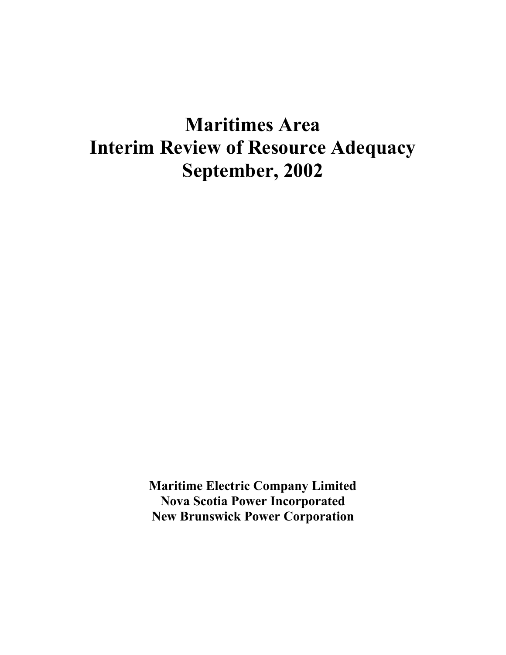# **Maritimes Area Interim Review of Resource Adequacy September, 2002**

**Maritime Electric Company Limited Nova Scotia Power Incorporated New Brunswick Power Corporation**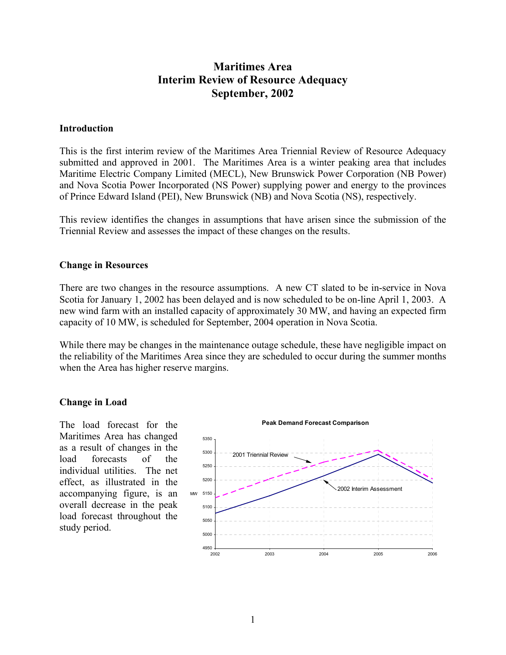# **Maritimes Area Interim Review of Resource Adequacy September, 2002**

#### **Introduction**

This is the first interim review of the Maritimes Area Triennial Review of Resource Adequacy submitted and approved in 2001. The Maritimes Area is a winter peaking area that includes Maritime Electric Company Limited (MECL), New Brunswick Power Corporation (NB Power) and Nova Scotia Power Incorporated (NS Power) supplying power and energy to the provinces of Prince Edward Island (PEI), New Brunswick (NB) and Nova Scotia (NS), respectively.

This review identifies the changes in assumptions that have arisen since the submission of the Triennial Review and assesses the impact of these changes on the results.

#### **Change in Resources**

There are two changes in the resource assumptions. A new CT slated to be in-service in Nova Scotia for January 1, 2002 has been delayed and is now scheduled to be on-line April 1, 2003. A new wind farm with an installed capacity of approximately 30 MW, and having an expected firm capacity of 10 MW, is scheduled for September, 2004 operation in Nova Scotia.

While there may be changes in the maintenance outage schedule, these have negligible impact on the reliability of the Maritimes Area since they are scheduled to occur during the summer months when the Area has higher reserve margins.

#### **Change in Load**

The load forecast for the Maritimes Area has changed as a result of changes in the load forecasts of the individual utilities. The net effect, as illustrated in the accompanying figure, is an overall decrease in the peak load forecast throughout the study period.